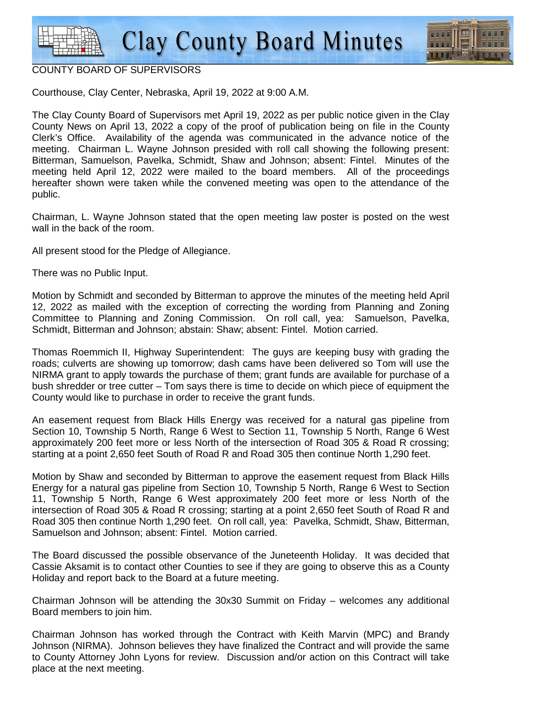

## COUNTY BOARD OF SUPERVISORS

Courthouse, Clay Center, Nebraska, April 19, 2022 at 9:00 A.M.

The Clay County Board of Supervisors met April 19, 2022 as per public notice given in the Clay County News on April 13, 2022 a copy of the proof of publication being on file in the County Clerk's Office. Availability of the agenda was communicated in the advance notice of the meeting. Chairman L. Wayne Johnson presided with roll call showing the following present: Bitterman, Samuelson, Pavelka, Schmidt, Shaw and Johnson; absent: Fintel. Minutes of the meeting held April 12, 2022 were mailed to the board members. All of the proceedings hereafter shown were taken while the convened meeting was open to the attendance of the public.

Chairman, L. Wayne Johnson stated that the open meeting law poster is posted on the west wall in the back of the room.

All present stood for the Pledge of Allegiance.

There was no Public Input.

Motion by Schmidt and seconded by Bitterman to approve the minutes of the meeting held April 12, 2022 as mailed with the exception of correcting the wording from Planning and Zoning Committee to Planning and Zoning Commission. On roll call, yea: Samuelson, Pavelka, Schmidt, Bitterman and Johnson; abstain: Shaw; absent: Fintel. Motion carried.

Thomas Roemmich II, Highway Superintendent: The guys are keeping busy with grading the roads; culverts are showing up tomorrow; dash cams have been delivered so Tom will use the NIRMA grant to apply towards the purchase of them; grant funds are available for purchase of a bush shredder or tree cutter – Tom says there is time to decide on which piece of equipment the County would like to purchase in order to receive the grant funds.

An easement request from Black Hills Energy was received for a natural gas pipeline from Section 10, Township 5 North, Range 6 West to Section 11, Township 5 North, Range 6 West approximately 200 feet more or less North of the intersection of Road 305 & Road R crossing; starting at a point 2,650 feet South of Road R and Road 305 then continue North 1,290 feet.

Motion by Shaw and seconded by Bitterman to approve the easement request from Black Hills Energy for a natural gas pipeline from Section 10, Township 5 North, Range 6 West to Section 11, Township 5 North, Range 6 West approximately 200 feet more or less North of the intersection of Road 305 & Road R crossing; starting at a point 2,650 feet South of Road R and Road 305 then continue North 1,290 feet. On roll call, yea: Pavelka, Schmidt, Shaw, Bitterman, Samuelson and Johnson; absent: Fintel. Motion carried.

The Board discussed the possible observance of the Juneteenth Holiday. It was decided that Cassie Aksamit is to contact other Counties to see if they are going to observe this as a County Holiday and report back to the Board at a future meeting.

Chairman Johnson will be attending the 30x30 Summit on Friday – welcomes any additional Board members to join him.

Chairman Johnson has worked through the Contract with Keith Marvin (MPC) and Brandy Johnson (NIRMA). Johnson believes they have finalized the Contract and will provide the same to County Attorney John Lyons for review. Discussion and/or action on this Contract will take place at the next meeting.